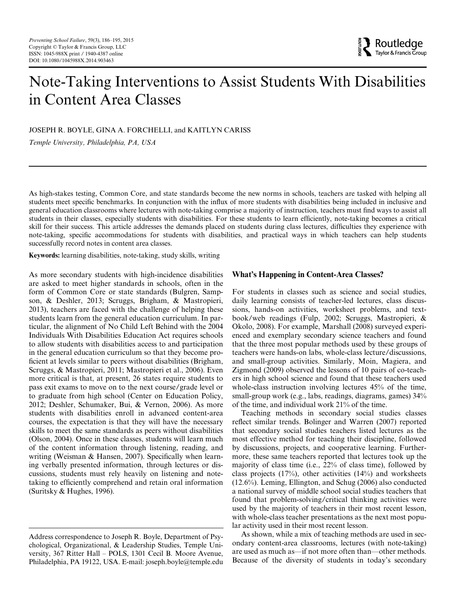

# Note-Taking Interventions to Assist Students With Disabilities in Content Area Classes

JOSEPH R. BOYLE, GINA A. FORCHELLI, and KAITLYN CARISS

Temple University, Philadelphia, PA, USA

As high-stakes testing, Common Core, and state standards become the new norms in schools, teachers are tasked with helping all students meet specific benchmarks. In conjunction with the influx of more students with disabilities being included in inclusive and general education classrooms where lectures with note-taking comprise a majority of instruction, teachers must find ways to assist all students in their classes, especially students with disabilities. For these students to learn efficiently, note-taking becomes a critical skill for their success. This article addresses the demands placed on students during class lectures, difficulties they experience with note-taking, specific accommodations for students with disabilities, and practical ways in which teachers can help students successfully record notes in content area classes.

Keywords: learning disabilities, note-taking, study skills, writing

As more secondary students with high-incidence disabilities are asked to meet higher standards in schools, often in the form of Common Core or state standards (Bulgren, Sampson, & Deshler, 2013; Scruggs, Brigham, & Mastropieri, 2013), teachers are faced with the challenge of helping these students learn from the general education curriculum. In particular, the alignment of No Child Left Behind with the 2004 Individuals With Disabilities Education Act requires schools to allow students with disabilities access to and participation in the general education curriculum so that they become proficient at levels similar to peers without disabilities (Brigham, Scruggs, & Mastropieri, 2011; Mastropieri et al., 2006). Even more critical is that, at present, 26 states require students to pass exit exams to move on to the next course/grade level or to graduate from high school (Center on Education Policy, 2012; Deshler, Schumaker, Bui, & Vernon, 2006). As more students with disabilities enroll in advanced content-area courses, the expectation is that they will have the necessary skills to meet the same standards as peers without disabilities (Olson, 2004). Once in these classes, students will learn much of the content information through listening, reading, and writing (Weisman & Hansen, 2007). Specifically when learning verbally presented information, through lectures or discussions, students must rely heavily on listening and notetaking to efficiently comprehend and retain oral information (Suritsky & Hughes, 1996).

# What's Happening in Content-Area Classes?

For students in classes such as science and social studies, daily learning consists of teacher-led lectures, class discussions, hands-on activities, worksheet problems, and textbook/web readings (Fulp, 2002; Scruggs, Mastropieri, & Okolo, 2008). For example, Marshall (2008) surveyed experienced and exemplary secondary science teachers and found that the three most popular methods used by these groups of teachers were hands-on labs, whole-class lecture/discussions, and small-group activities. Similarly, Moin, Magiera, and Zigmond (2009) observed the lessons of 10 pairs of co-teachers in high school science and found that these teachers used whole-class instruction involving lectures  $45%$  of the time, small-group work (e.g., labs, readings, diagrams, games) 34% of the time, and individual work 21% of the time.

Teaching methods in secondary social studies classes reflect similar trends. Bolinger and Warren (2007) reported that secondary social studies teachers listed lectures as the most effective method for teaching their discipline, followed by discussions, projects, and cooperative learning. Furthermore, these same teachers reported that lectures took up the majority of class time (i.e., 22% of class time), followed by class projects (17%), other activities (14%) and worksheets (12.6%). Leming, Ellington, and Schug (2006) also conducted a national survey of middle school social studies teachers that found that problem-solving/critical thinking activities were used by the majority of teachers in their most recent lesson, with whole-class teacher presentations as the next most popular activity used in their most recent lesson.

As shown, while a mix of teaching methods are used in secondary content-area classrooms, lectures (with note-taking) are used as much as—if not more often than—other methods. Because of the diversity of students in today's secondary

Address correspondence to Joseph R. Boyle, Department of Psychological, Organizational, & Leadership Studies, Temple University, 367 Ritter Hall – POLS, 1301 Cecil B. Moore Avenue, Philadelphia, PA 19122, USA. E-mail: joseph.boyle@temple.edu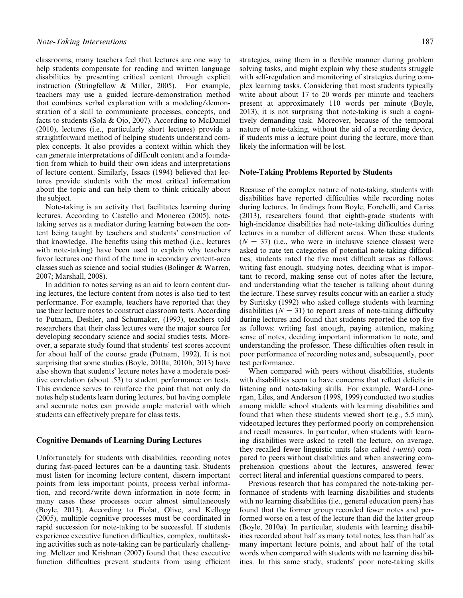classrooms, many teachers feel that lectures are one way to help students compensate for reading and written language disabilities by presenting critical content through explicit instruction (Stringfellow & Miller, 2005). For example, teachers may use a guided lecture-demonstration method that combines verbal explanation with a modeling/demonstration of a skill to communicate processes, concepts, and facts to students (Sola & Ojo, 2007). According to McDaniel (2010), lectures (i.e., particularly short lectures) provide a straightforward method of helping students understand complex concepts. It also provides a context within which they can generate interpretations of difficult content and a foundation from which to build their own ideas and interpretations of lecture content. Similarly, Issacs (1994) believed that lectures provide students with the most critical information about the topic and can help them to think critically about the subject.

Note-taking is an activity that facilitates learning during lectures. According to Castello and Monereo (2005), notetaking serves as a mediator during learning between the content being taught by teachers and students' construction of that knowledge. The benefits using this method (i.e., lectures with note-taking) have been used to explain why teachers favor lectures one third of the time in secondary content-area classes such as science and social studies (Bolinger & Warren, 2007; Marshall, 2008).

In addition to notes serving as an aid to learn content during lectures, the lecture content from notes is also tied to test performance. For example, teachers have reported that they use their lecture notes to construct classroom tests. According to Putnam, Deshler, and Schumaker, (1993), teachers told researchers that their class lectures were the major source for developing secondary science and social studies tests. Moreover, a separate study found that students' test scores account for about half of the course grade (Putnam, 1992). It is not surprising that some studies (Boyle, 2010a, 2010b, 2013) have also shown that students' lecture notes have a moderate positive correlation (about .53) to student performance on tests. This evidence serves to reinforce the point that not only do notes help students learn during lectures, but having complete and accurate notes can provide ample material with which students can effectively prepare for class tests.

# Cognitive Demands of Learning During Lectures

Unfortunately for students with disabilities, recording notes during fast-paced lectures can be a daunting task. Students must listen for incoming lecture content, discern important points from less important points, process verbal information, and record/write down information in note form; in many cases these processes occur almost simultaneously (Boyle, 2013). According to Piolat, Olive, and Kellogg (2005), multiple cognitive processes must be coordinated in rapid succession for note-taking to be successful. If students experience executive function difficulties, complex, multitasking activities such as note-taking can be particularly challenging. Meltzer and Krishnan (2007) found that these executive function difficulties prevent students from using efficient strategies, using them in a flexible manner during problem solving tasks, and might explain why these students struggle with self-regulation and monitoring of strategies during complex learning tasks. Considering that most students typically write about about 17 to 20 words per minute and teachers present at approximately 110 words per minute (Boyle, 2013), it is not surprising that note-taking is such a cognitively demanding task. Moreover, because of the temporal nature of note-taking, without the aid of a recording device, if students miss a lecture point during the lecture, more than likely the information will be lost.

#### Note-Taking Problems Reported by Students

Because of the complex nature of note-taking, students with disabilities have reported difficulties while recording notes during lectures. In findings from Boyle, Forchelli, and Cariss (2013), researchers found that eighth-grade students with high-incidence disabilities had note-taking difficulties during lectures in a number of different areas. When these students  $(N = 37)$  (i.e., who were in inclusive science classes) were asked to rate ten categories of potential note-taking difficulties, students rated the five most difficult areas as follows: writing fast enough, studying notes, deciding what is important to record, making sense out of notes after the lecture, and understanding what the teacher is talking about during the lecture. These survey results concur with an earlier a study by Suritsky (1992) who asked college students with learning disabilities ( $N = 31$ ) to report areas of note-taking difficulty during lectures and found that students reported the top five as follows: writing fast enough, paying attention, making sense of notes, deciding important information to note, and understanding the professor. These difficulties often result in poor performance of recording notes and, subsequently, poor test performance.

When compared with peers without disabilities, students with disabilities seem to have concerns that reflect deficits in listening and note-taking skills. For example, Ward-Lonergan, Liles, and Anderson (1998, 1999) conducted two studies among middle school students with learning disabilities and found that when these students viewed short (e.g., 5.5 min), videotaped lectures they performed poorly on comprehension and recall measures. In particular, when students with learning disabilities were asked to retell the lecture, on average, they recalled fewer linguistic units (also called t-units) compared to peers without disabilities and when answering comprehension questions about the lectures, answered fewer correct literal and inferential questions compared to peers.

Previous research that has compared the note-taking performance of students with learning disabilities and students with no learning disabilities (i.e., general education peers) has found that the former group recorded fewer notes and performed worse on a test of the lecture than did the latter group (Boyle, 2010a). In particular, students with learning disabilities recorded about half as many total notes, less than half as many important lecture points, and about half of the total words when compared with students with no learning disabilities. In this same study, students' poor note-taking skills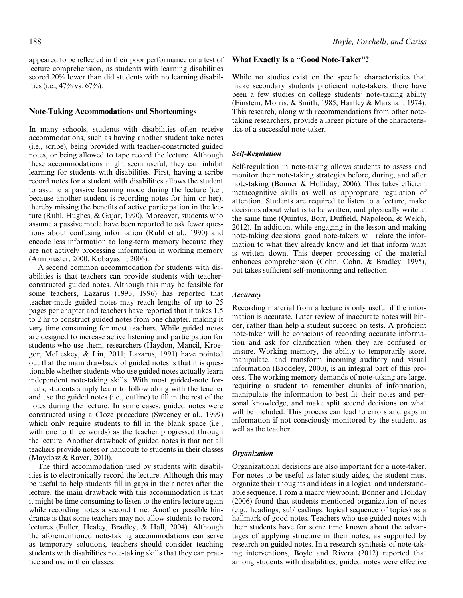appeared to be reflected in their poor performance on a test of lecture comprehension, as students with learning disabilities scored 20% lower than did students with no learning disabilities (i.e., 47% vs. 67%).

# Note-Taking Accommodations and Shortcomings

In many schools, students with disabilities often receive accommodations, such as having another student take notes (i.e., scribe), being provided with teacher-constructed guided notes, or being allowed to tape record the lecture. Although these accommodations might seem useful, they can inhibit learning for students with disabilities. First, having a scribe record notes for a student with disabilities allows the student to assume a passive learning mode during the lecture (i.e., because another student is recording notes for him or her), thereby missing the benefits of active participation in the lecture (Ruhl, Hughes, & Gajar, 1990). Moreover, students who assume a passive mode have been reported to ask fewer questions about confusing information (Ruhl et al., 1990) and encode less information to long-term memory because they are not actively processing information in working memory (Armbruster, 2000; Kobayashi, 2006).

A second common accommodation for students with disabilities is that teachers can provide students with teacherconstructed guided notes. Although this may be feasible for some teachers, Lazarus (1993, 1996) has reported that teacher-made guided notes may reach lengths of up to 25 pages per chapter and teachers have reported that it takes 1.5 to 2 hr to construct guided notes from one chapter, making it very time consuming for most teachers. While guided notes are designed to increase active listening and participation for students who use them, researchers (Haydon, Mancil, Kroegor, McLeskey, & Lin, 2011; Lazarus, 1991) have pointed out that the main drawback of guided notes is that it is questionable whether students who use guided notes actually learn independent note-taking skills. With most guided-note formats, students simply learn to follow along with the teacher and use the guided notes (i.e., outline) to fill in the rest of the notes during the lecture. In some cases, guided notes were constructed using a Cloze procedure (Sweeney et al., 1999) which only require students to fill in the blank space (i.e., with one to three words) as the teacher progressed through the lecture. Another drawback of guided notes is that not all teachers provide notes or handouts to students in their classes (Maydosz & Raver, 2010).

The third accommodation used by students with disabilities is to electronically record the lecture. Although this may be useful to help students fill in gaps in their notes after the lecture, the main drawback with this accommodation is that it might be time consuming to listen to the entire lecture again while recording notes a second time. Another possible hindrance is that some teachers may not allow students to record lectures (Fuller, Healey, Bradley, & Hall, 2004). Although the aforementioned note-taking accommodations can serve as temporary solutions, teachers should consider teaching students with disabilities note-taking skills that they can practice and use in their classes.

### What Exactly Is a "Good Note-Taker"?

While no studies exist on the specific characteristics that make secondary students proficient note-takers, there have been a few studies on college students' note-taking ability (Einstein, Morris, & Smith, 1985; Hartley & Marshall, 1974). This research, along with recommendations from other notetaking researchers, provide a larger picture of the characteristics of a successful note-taker.

### Self-Regulation

Self-regulation in note-taking allows students to assess and monitor their note-taking strategies before, during, and after note-taking (Bonner & Holliday, 2006). This takes efficient metacognitive skills as well as appropriate regulation of attention. Students are required to listen to a lecture, make decisions about what is to be written, and physically write at the same time (Quintus, Borr, Duffield, Napoleon, & Welch, 2012). In addition, while engaging in the lesson and making note-taking decisions, good note-takers will relate the information to what they already know and let that inform what is written down. This deeper processing of the material enhances comprehension (Cohn, Cohn, & Bradley, 1995), but takes sufficient self-monitoring and reflection.

# $\overline{\phantom{a}}$

Recording material from a lecture is only useful if the information is accurate. Later review of inaccurate notes will hinder, rather than help a student succeed on tests. A proficient note-taker will be conscious of recording accurate information and ask for clarification when they are confused or unsure. Working memory, the ability to temporarily store, manipulate, and transform incoming auditory and visual information (Baddeley, 2000), is an integral part of this process. The working memory demands of note-taking are large, requiring a student to remember chunks of information, manipulate the information to best fit their notes and personal knowledge, and make split second decisions on what will be included. This process can lead to errors and gaps in information if not consciously monitored by the student, as well as the teacher.

# Organization

Organizational decisions are also important for a note-taker. For notes to be useful as later study aides, the student must organize their thoughts and ideas in a logical and understandable sequence. From a macro viewpoint, Bonner and Holiday (2006) found that students mentioned organization of notes (e.g., headings, subheadings, logical sequence of topics) as a hallmark of good notes. Teachers who use guided notes with their students have for some time known about the advantages of applying structure in their notes, as supported by research on guided notes. In a research synthesis of note-taking interventions, Boyle and Rivera (2012) reported that among students with disabilities, guided notes were effective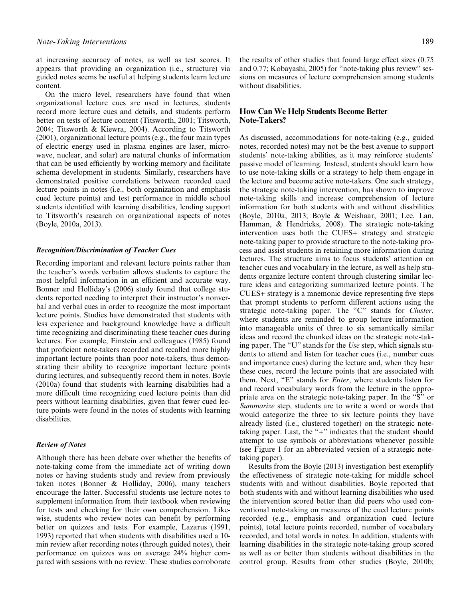at increasing accuracy of notes, as well as test scores. It appears that providing an organization (i.e., structure) via guided notes seems be useful at helping students learn lecture content.

On the micro level, researchers have found that when organizational lecture cues are used in lectures, students record more lecture cues and details, and students perform better on tests of lecture content (Titsworth, 2001; Titsworth, 2004; Titsworth & Kiewra, 2004). According to Titsworth (2001), organizational lecture points (e.g., the four main types of electric energy used in plasma engines are laser, microwave, nuclear, and solar) are natural chunks of information that can be used efficiently by working memory and facilitate schema development in students. Similarly, researchers have demonstrated positive correlations between recorded cued lecture points in notes (i.e., both organization and emphasis cued lecture points) and test performance in middle school students identified with learning disabilities, lending support to Titsworth's research on organizational aspects of notes (Boyle, 2010a, 2013).

# Recognition/Discrimination of Teacher Cues

Recording important and relevant lecture points rather than the teacher's words verbatim allows students to capture the most helpful information in an efficient and accurate way. Bonner and Holliday's (2006) study found that college students reported needing to interpret their instructor's nonverbal and verbal cues in order to recognize the most important lecture points. Studies have demonstrated that students with less experience and background knowledge have a difficult time recognizing and discriminating these teacher cues during lectures. For example, Einstein and colleagues (1985) found that proficient note-takers recorded and recalled more highly important lecture points than poor note-takers, thus demonstrating their ability to recognize important lecture points during lectures, and subsequently record them in notes. Boyle (2010a) found that students with learning disabilities had a more difficult time recognizing cued lecture points than did peers without learning disabilities, given that fewer cued lecture points were found in the notes of students with learning disabilities.

# Review of Notes

Although there has been debate over whether the benefits of note-taking come from the immediate act of writing down notes or having students study and review from previously taken notes (Bonner & Holliday, 2006), many teachers encourage the latter. Successful students use lecture notes to supplement information from their textbook when reviewing for tests and checking for their own comprehension. Likewise, students who review notes can benefit by performing better on quizzes and tests. For example, Lazarus (1991, 1993) reported that when students with disabilities used a 10 min review after recording notes (through guided notes), their performance on quizzes was on average 24% higher compared with sessions with no review. These studies corroborate the results of other studies that found large effect sizes (0.75 and 0.77; Kobayashi, 2005) for "note-taking plus review" sessions on measures of lecture comprehension among students without disabilities.

# How Can We Help Students Become Better Note-Takers?

As discussed, accommodations for note-taking (e.g., guided notes, recorded notes) may not be the best avenue to support students' note-taking abilities, as it may reinforce students' passive model of learning. Instead, students should learn how to use note-taking skills or a strategy to help them engage in the lecture and become active note-takers. One such strategy, the strategic note-taking intervention, has shown to improve note-taking skills and increase comprehension of lecture information for both students with and without disabilities (Boyle, 2010a, 2013; Boyle & Weishaar, 2001; Lee, Lan, Hamman, & Hendricks, 2008). The strategic note-taking intervention uses both the CUES+ strategy and strategic note-taking paper to provide structure to the note-taking process and assist students in retaining more information during lectures. The structure aims to focus students' attention on teacher cues and vocabulary in the lecture, as well as help students organize lecture content through clustering similar lecture ideas and categorizing summarized lecture points. The CUES+ strategy is a mnemonic device representing five steps that prompt students to perform different actions using the strategic note-taking paper. The "C" stands for Cluster, where students are reminded to group lecture information into manageable units of three to six semantically similar ideas and record the chunked ideas on the strategic note-taking paper. The "U" stands for the Use step, which signals students to attend and listen for teacher cues (i.e., number cues and importance cues) during the lecture and, when they hear these cues, record the lecture points that are associated with them. Next, "E" stands for Enter, where students listen for and record vocabulary words from the lecture in the appropriate area on the strategic note-taking paper. In the "S" or Summarize step, students are to write a word or words that would categorize the three to six lecture points they have already listed (i.e., clustered together) on the strategic notetaking paper. Last, the "+" indicates that the student should attempt to use symbols or abbreviations whenever possible (see Figure 1 for an abbreviated version of a strategic notetaking paper).

Results from the Boyle (2013) investigation best exemplify the effectiveness of strategic note-taking for middle school students with and without disabilities. Boyle reported that both students with and without learning disabilities who used the intervention scored better than did peers who used conventional note-taking on measures of the cued lecture points recorded (e.g., emphasis and organization cued lecture points), total lecture points recorded, number of vocabulary recorded, and total words in notes. In addition, students with learning disabilities in the strategic note-taking group scored as well as or better than students without disabilities in the control group. Results from other studies (Boyle, 2010b;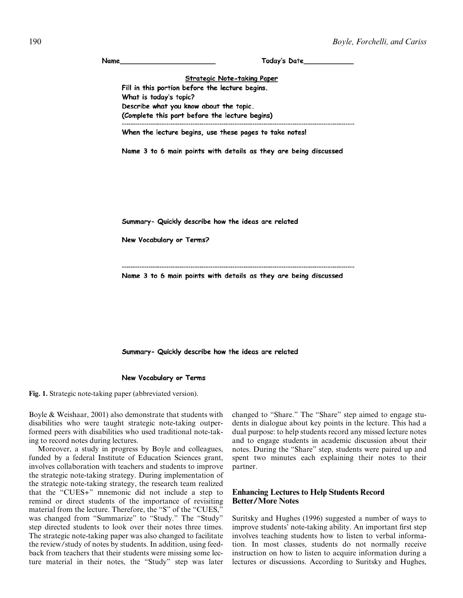**Today's Date** Name **Strategic Note-taking Paper** Fill in this portion before the lecture begins. What is today's topic? Describe what you know about the topic. (Complete this part before the lecture begins) When the lecture begins, use these pages to take notes! Name 3 to 6 main points with details as they are being discussed Summary- Quickly describe how the ideas are related New Vocabulary or Terms? Name 3 to 6 main points with details as they are being discussed

Summary- Quickly describe how the ideas are related

#### New Vocabulary or Terms

Fig. 1. Strategic note-taking paper (abbreviated version).

Boyle & Weishaar, 2001) also demonstrate that students with disabilities who were taught strategic note-taking outperformed peers with disabilities who used traditional note-taking to record notes during lectures.

Moreover, a study in progress by Boyle and colleagues, funded by a federal Institute of Education Sciences grant, involves collaboration with teachers and students to improve the strategic note-taking strategy. During implementation of the strategic note-taking strategy, the research team realized that the "CUES+" mnemonic did not include a step to remind or direct students of the importance of revisiting material from the lecture. Therefore, the "S" of the "CUES," was changed from "Summarize" to "Study." The "Study" step directed students to look over their notes three times. The strategic note-taking paper was also changed to facilitate the review/study of notes by students. In addition, using feedback from teachers that their students were missing some lecture material in their notes, the "Study" step was later changed to "Share." The "Share" step aimed to engage students in dialogue about key points in the lecture. This had a dual purpose: to help students record any missed lecture notes and to engage students in academic discussion about their notes. During the "Share" step, students were paired up and spent two minutes each explaining their notes to their partner.

# Enhancing Lectures to Help Students Record Better/More Notes

Suritsky and Hughes (1996) suggested a number of ways to improve students' note-taking ability. An important first step involves teaching students how to listen to verbal information. In most classes, students do not normally receive instruction on how to listen to acquire information during a lectures or discussions. According to Suritsky and Hughes,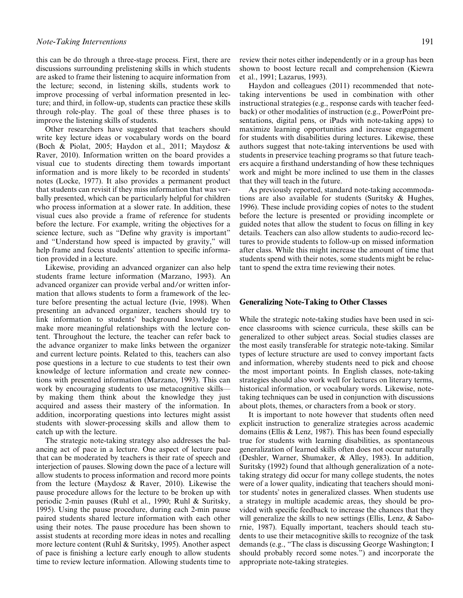this can be do through a three-stage process. First, there are discussions surrounding prelistening skills in which students are asked to frame their listening to acquire information from the lecture; second, in listening skills, students work to improve processing of verbal information presented in lecture; and third, in follow-up, students can practice these skills through role-play. The goal of these three phases is to improve the listening skills of students.

Other researchers have suggested that teachers should write key lecture ideas or vocabulary words on the board (Boch & Piolat, 2005; Haydon et al., 2011; Maydosz & Raver, 2010). Information written on the board provides a visual cue to students directing them towards important information and is more likely to be recorded in students' notes (Locke, 1977). It also provides a permanent product that students can revisit if they miss information that was verbally presented, which can be particularly helpful for children who process information at a slower rate. In addition, these visual cues also provide a frame of reference for students before the lecture. For example, writing the objectives for a science lecture, such as "Define why gravity is important" and "Understand how speed is impacted by gravity," will help frame and focus students' attention to specific information provided in a lecture.

Likewise, providing an advanced organizer can also help students frame lecture information (Marzano, 1993). An advanced organizer can provide verbal and/or written information that allows students to form a framework of the lecture before presenting the actual lecture (Ivie, 1998). When presenting an advanced organizer, teachers should try to link information to students' background knowledge to make more meaningful relationships with the lecture content. Throughout the lecture, the teacher can refer back to the advance organizer to make links between the organizer and current lecture points. Related to this, teachers can also pose questions in a lecture to cue students to test their own knowledge of lecture information and create new connections with presented information (Marzano, 1993). This can work by encouraging students to use metacognitive skills by making them think about the knowledge they just acquired and assess their mastery of the information. In addition, incorporating questions into lectures might assist students with slower-processing skills and allow them to catch up with the lecture.

The strategic note-taking strategy also addresses the balancing act of pace in a lecture. One aspect of lecture pace that can be moderated by teachers is their rate of speech and interjection of pauses. Slowing down the pace of a lecture will allow students to process information and record more points from the lecture (Maydosz & Raver, 2010). Likewise the pause procedure allows for the lecture to be broken up with periodic 2-min pauses (Ruhl et al., 1990; Ruhl & Suritsky, 1995). Using the pause procedure, during each 2-min pause paired students shared lecture information with each other using their notes. The pause procedure has been shown to assist students at recording more ideas in notes and recalling more lecture content (Ruhl & Suritsky, 1995). Another aspect of pace is finishing a lecture early enough to allow students time to review lecture information. Allowing students time to review their notes either independently or in a group has been shown to boost lecture recall and comprehension (Kiewra et al., 1991; Lazarus, 1993).

Haydon and colleagues (2011) recommended that notetaking interventions be used in combination with other instructional strategies (e.g., response cards with teacher feedback) or other modalities of instruction (e.g., PowerPoint presentations, digital pens, or iPads with note-taking apps) to maximize learning opportunities and increase engagement for students with disabilities during lectures. Likewise, these authors suggest that note-taking interventions be used with students in preservice teaching programs so that future teachers acquire a firsthand understanding of how these techniques work and might be more inclined to use them in the classes that they will teach in the future.

As previously reported, standard note-taking accommodations are also available for students (Suritsky & Hughes, 1996). These include providing copies of notes to the student before the lecture is presented or providing incomplete or guided notes that allow the student to focus on filling in key details. Teachers can also allow students to audio-record lectures to provide students to follow-up on missed information after class. While this might increase the amount of time that students spend with their notes, some students might be reluctant to spend the extra time reviewing their notes.

# Generalizing Note-Taking to Other Classes

While the strategic note-taking studies have been used in science classrooms with science curricula, these skills can be generalized to other subject areas. Social studies classes are the most easily transferable for strategic note-taking. Similar types of lecture structure are used to convey important facts and information, whereby students need to pick and choose the most important points. In English classes, note-taking strategies should also work well for lectures on literary terms, historical information, or vocabulary words. Likewise, notetaking techniques can be used in conjunction with discussions about plots, themes, or characters from a book or story.

It is important to note however that students often need explicit instruction to generalize strategies across academic domains (Ellis & Lenz, 1987). This has been found especially true for students with learning disabilities, as spontaneous generalization of learned skills often does not occur naturally (Deshler, Warner, Shumaker, & Alley, 1983). In addition, Suritsky (1992) found that although generalization of a notetaking strategy did occur for many college students, the notes were of a lower quality, indicating that teachers should monitor students' notes in generalized classes. When students use a strategy in multiple academic areas, they should be provided with specific feedback to increase the chances that they will generalize the skills to new settings (Ellis, Lenz, & Sabornie, 1987). Equally important, teachers should teach students to use their metacognitive skills to recognize of the task demands (e.g., "The class is discussing George Washington; I should probably record some notes.") and incorporate the appropriate note-taking strategies.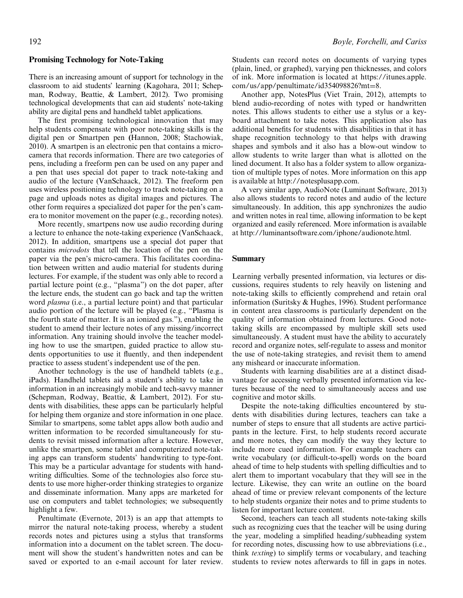# Promising Technology for Note-Taking

There is an increasing amount of support for technology in the classroom to aid students' learning (Kagohara, 2011; Schepman, Rodway, Beattie, & Lambert, 2012). Two promising technological developments that can aid students' note-taking ability are digital pens and handheld tablet applications.

The first promising technological innovation that may help students compensate with poor note-taking skills is the digital pen or Smartpen pen (Hannon, 2008; Stachowiak, 2010). A smartpen is an electronic pen that contains a microcamera that records information. There are two categories of pens, including a freeform pen can be used on any paper and a pen that uses special dot paper to track note-taking and audio of the lecture (VanSchaack, 2012). The freeform pen uses wireless positioning technology to track note-taking on a page and uploads notes as digital images and pictures. The other form requires a specialized dot paper for the pen's camera to monitor movement on the paper (e.g., recording notes).

More recently, smartpens now use audio recording during a lecture to enhance the note-taking experience (VanSchaack, 2012). In addition, smartpens use a special dot paper that contains microdots that tell the location of the pen on the paper via the pen's micro-camera. This facilitates coordination between written and audio material for students during lectures. For example, if the student was only able to record a partial lecture point (e.g., "plasma") on the dot paper, after the lecture ends, the student can go back and tap the written word plasma (i.e., a partial lecture point) and that particular audio portion of the lecture will be played (e.g., "Plasma is the fourth state of matter. It is an ionized gas."), enabling the student to amend their lecture notes of any missing/incorrect information. Any training should involve the teacher modeling how to use the smartpen, guided practice to allow students opportunities to use it fluently, and then independent practice to assess student's independent use of the pen.

Another technology is the use of handheld tablets (e.g., iPads). Handheld tablets aid a student's ability to take in information in an increasingly mobile and tech-savvy manner (Schepman, Rodway, Beattie, & Lambert, 2012). For students with disabilities, these apps can be particularly helpful for helping them organize and store information in one place. Similar to smartpens, some tablet apps allow both audio and written information to be recorded simultaneously for students to revisit missed information after a lecture. However, unlike the smartpen, some tablet and computerized note-taking apps can transform students' handwriting to type-font. This may be a particular advantage for students with handwriting difficulties. Some of the technologies also force students to use more higher-order thinking strategies to organize and disseminate information. Many apps are marketed for use on computers and tablet technologies; we subsequently highlight a few.

Penultimate (Evernote, 2013) is an app that attempts to mirror the natural note-taking process, whereby a student records notes and pictures using a stylus that transforms information into a document on the tablet screen. The document will show the student's handwritten notes and can be saved or exported to an e-mail account for later review. Students can record notes on documents of varying types (plain, lined, or graphed), varying pen thicknesses, and colors of ink. More information is located at https://itunes.apple.  $com/us/app/penultimate/id354098826?mt=8.$ 

Another app, NotesPlus (Viet Train, 2012), attempts to blend audio-recording of notes with typed or handwritten notes. This allows students to either use a stylus or a keyboard attachment to take notes. This application also has additional benefits for students with disabilities in that it has shape recognition technology to that helps with drawing shapes and symbols and it also has a blow-out window to allow students to write larger than what is allotted on the lined document. It also has a folder system to allow organization of multiple types of notes. More information on this app is available at http://notesplusapp.com.

A very similar app, AudioNote (Luminant Software, 2013) also allows students to record notes and audio of the lecture simultaneously. In addition, this app synchronizes the audio and written notes in real time, allowing information to be kept organized and easily referenced. More information is available at http://luminantsoftware.com/iphone/audionote.html.

#### Summary

Learning verbally presented information, via lectures or discussions, requires students to rely heavily on listening and note-taking skills to efficiently comprehend and retain oral information (Suritsky & Hughes, 1996). Student performance in content area classrooms is particularly dependent on the quality of information obtained from lectures. Good notetaking skills are encompassed by multiple skill sets used simultaneously. A student must have the ability to accurately record and organize notes, self-regulate to assess and monitor the use of note-taking strategies, and revisit them to amend any misheard or inaccurate information.

Students with learning disabilities are at a distinct disadvantage for accessing verbally presented information via lectures because of the need to simultaneously access and use cognitive and motor skills.

Despite the note-taking difficulties encountered by students with disabilities during lectures, teachers can take a number of steps to ensure that all students are active participants in the lecture. First, to help students record accurate and more notes, they can modify the way they lecture to include more cued information. For example teachers can write vocabulary (or difficult-to-spell) words on the board ahead of time to help students with spelling difficulties and to alert them to important vocabulary that they will see in the lecture. Likewise, they can write an outline on the board ahead of time or preview relevant components of the lecture to help students organize their notes and to prime students to listen for important lecture content.

Second, teachers can teach all students note-taking skills such as recognizing cues that the teacher will be using during the year, modeling a simplified heading/subheading system for recording notes, discussing how to use abbreviations (i.e., think texting) to simplify terms or vocabulary, and teaching students to review notes afterwards to fill in gaps in notes.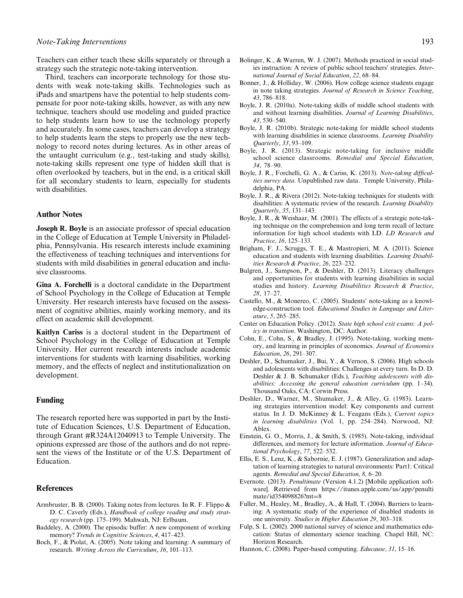Teachers can either teach these skills separately or through a strategy such the strategic note-taking intervention.

Third, teachers can incorporate technology for those students with weak note-taking skills. Technologies such as iPads and smartpens have the potential to help students compensate for poor note-taking skills, however, as with any new technique, teachers should use modeling and guided practice to help students learn how to use the technology properly and accurately. In some cases, teachers can develop a strategy to help students learn the steps to properly use the new technology to record notes during lectures. As in other areas of the untaught curriculum (e.g., test-taking and study skills), note-taking skills represent one type of hidden skill that is often overlooked by teachers, but in the end, is a critical skill for all secondary students to learn, especially for students with disabilities.

# Author Notes

Joseph R. Boyle is an associate professor of special education in the College of Education at Temple University in Philadelphia, Pennsylvania. His research interests include examining the effectiveness of teaching techniques and interventions for students with mild disabilities in general education and inclusive classrooms.

Gina A. Forchelli is a doctoral candidate in the Department of School Psychology in the College of Education at Temple University. Her research interests have focused on the assessment of cognitive abilities, mainly working memory, and its effect on academic skill development.

Kaitlyn Cariss is a doctoral student in the Department of School Psychology in the College of Education at Temple University. Her current research interests include academic interventions for students with learning disabilities, working memory, and the effects of neglect and institutionalization on development.

### Funding

The research reported here was supported in part by the Institute of Education Sciences, U.S. Department of Education, through Grant #R324A12040913 to Temple University. The opinions expressed are those of the authors and do not represent the views of the Institute or of the U.S. Department of Education.

# **References**

- Armbruster, B. B. (2000). Taking notes from lectures. In R. F. Flippo & D. C. Caverly (Eds.), Handbook of college reading and study strategy research (pp. 175–199). Mahwah, NJ: Erlbaum.
- Baddeley, A. (2000). The episodic buffer: A new component of working memory? Trends in Cognitive Sciences, 4, 417-423.
- Boch, F., & Piolat, A. (2005). Note taking and learning: A summary of research. Writing Across the Curriculum, 16, 101–113.
- Bolinger, K., & Warren, W. J. (2007). Methods practiced in social studies instruction: A review of public school teachers' strategies. International Journal of Social Education, 22, 68–84.
- Bonner, J., & Holliday, W. (2006). How college science students engage in note taking strategies. Journal of Research in Science Teaching, 43, 786–818.
- Boyle, J. R. (2010a). Note-taking skills of middle school students with and without learning disabilities. Journal of Learning Disabilities, 43, 530–540.
- Boyle, J. R. (2010b). Strategic note-taking for middle school students with learning disabilities in science classrooms. Learning Disability Quarterly, 33, 93–109.
- Boyle, J. R. (2013). Strategic note-taking for inclusive middle school science classrooms. Remedial and Special Education, 34, 78–90.
- Boyle, J. R., Forchelli, G. A., & Cariss, K. (2013). Note-taking difficulties survey data. Unpublished raw data. Temple University, Philadelphia, PA.
- Boyle, J. R., & Rivera (2012). Note-taking techniques for students with disabilities: A systematic review of the research. Learning Disability Quarterly, 35, 131–143.
- Boyle, J. R., & Weishaar, M. (2001). The effects of a strategic note-taking technique on the comprehension and long term recall of lecture information for high school students with LD. LD Research and Practice, 16, 125–133.
- Brigham, F. J., Scruggs, T. E., & Mastropieri, M. A. (2011). Science education and students with learning disabilities. Learning Disabilities Research & Practice, 26, 223–232.
- Bulgren, J., Sampson, P., & Deshler, D. (2013). Literacy challenges and opportunities for students with learning disabilities in social studies and history. Learning Disabilities Research & Practice, 28, 17–27.
- Castello, M., & Monereo, C. (2005). Students' note-taking as a knowledge-construction tool. Educational Studies in Language and Literature, 5, 265–285.
- Center on Education Policy. (2012). State high school exit exams: A policy in transition. Washington, DC: Author.
- Cohn, E., Cohn, S., & Bradley, J. (1995). Note-taking, working memory, and learning in principles of economics. Journal of Economics Education, 26, 291–307.
- Deshler, D., Schumaker, J., Bui, Y., & Vernon, S. (2006). High schools and adolescents with disabilities: Challenges at every turn. In D. D. Deshler & J. B. Schumaker (Eds.), Teaching adolescents with disabilities: Accessing the general education curriculum (pp. 1–34). Thousand Oaks, CA: Corwin Press.
- Deshler, D., Warner, M., Shumaker, J., & Alley, G. (1983). Learning strategies intervention model: Key components and current status. In J. D. McKinney & L. Feagans (Eds.), Current topics in learning disabilities (Vol. 1, pp. 254–284). Norwood, NJ: Ablex.
- Einstein, G. O., Morris, J., & Smith, S. (1985). Note-taking, individual differences, and memory for lecture information. Journal of Educational Psychology, 77, 522–532.
- Ellis, E. S., Lenz, K., & Sabornie, E. J. (1987). Generalization and adaptation of learning strategies to natural environments: Part1: Critical agents. Remedial and Special Education, 8, 6–20.
- Evernote. (2013). Penultimate (Version 4.1.2) [Mobile application software]. Retrieved from [https://itunes.apple.com/us/app/penulti](https://itunes.apple.com/us/app/penultimate/id354098826?mt=8) [mate/id354098826?mt](https://itunes.apple.com/us/app/penultimate/id354098826?mt=8)=[8](https://itunes.apple.com/us/app/penultimate/id354098826?mt=8)
- Fuller, M., Healey, M., Bradley, A., & Hall, T. (2004). Barriers to learning: A systematic study of the experience of disabled students in one university. Studies in Higher Education 29, 303–318.
- Fulp, S. L. (2002). 2000 national survey of science and mathematics education: Status of elementary science teaching. Chapel Hill, NC: Horizon Research.
- Hannon, C. (2008). Paper-based computing. Educause, 31, 15–16.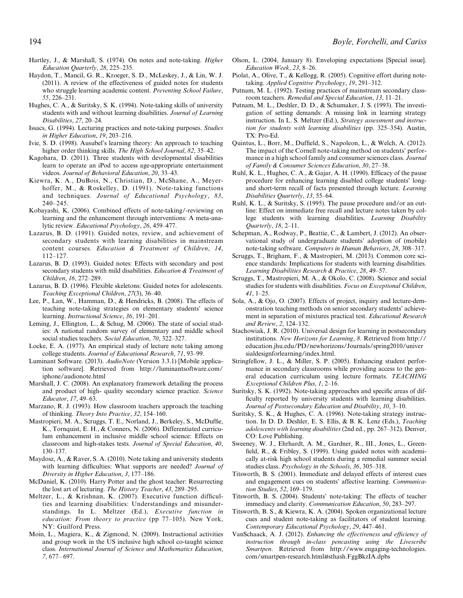- Hartley, J., & Marshall, S. (1974). On notes and note-taking. Higher Education Quarterly, 28, 225–235.
- Haydon, T., Mancil, G. R., Kroeger, S. D., McLeskey, J., & Lin, W. J. (2011). A review of the effectiveness of guided notes for students who struggle learning academic content. Preventing School Failure, 55, 226–231.
- Hughes, C. A., & Suritsky, S. K. (1994). Note-taking skills of university students with and without learning disabilities. Journal of Learning Disabilities, 27, 20–24.
- Issacs, G. (1994). Lecturing practices and note-taking purposes. Studies in Higher Education, 19, 203–216.
- Ivie, S. D. (1998). Ausubel's learning theory: An approach to teaching higher order thinking skills. The High School Journal, 82, 35–42.
- Kagohara, D. (2011). Three students with developmental disabilities learn to operate an iPod to access age-appropriate entertainment videos. Journal of Behavioral Education, 20, 33–43.
- Kiewra, K. A., DuBois, N., Christian, D., McShane, A., Meyerhoffer, M., & Roskelley, D. (1991). Note-taking functions and techniques. Journal of Educational Psychology, 83, 240–245.
- Kobayashi, K. (2006). Combined effects of note-taking/-reviewing on learning and the enhancement through interventions: A meta-analytic review. Educational Psychology, 26, 459–477.
- Lazarus, B. D. (1991). Guided notes, review, and achievement of secondary students with learning disabilities in mainstream content courses. Education & Treatment of Children, 14, 112–127.
- Lazarus, B. D. (1993). Guided notes: Effects with secondary and post secondary students with mild disabilities. Education & Treatment of Children, 16, 272–289.
- Lazarus, B. D. (1996). Flexible skeletons: Guided notes for adolescents. Teaching Exceptional Children, 27(3), 36–40.
- Lee, P., Lan, W., Hamman, D., & Hendricks, B. (2008). The effects of teaching note-taking strategies on elementary students' science learning. Instructional Science, 36, 191–201.
- Leming, J., Ellington, L., & Schug, M. (2006). The state of social studies: A national random survey of elementary and middle school social studies teachers. Social Education, 70, 322-327.
- Locke, E. A. (1977). An empirical study of lecture note taking among college students. Journal of Educational Research, 71, 93–99.
- Luminant Software. (2013). AudioNote (Version 3.3.1) [Mobile application software]. Retrieved from [http://luminantsoftware.com/](http://luminantsoftware.com/iphone/audionote.html) [iphone/audionote.html](http://luminantsoftware.com/iphone/audionote.html)
- Marshall, J. C. (2008). An explanatory framework detailing the process and product of high- quality secondary science practice. Science Educator, 17, 49–63.
- Marzano, R. J. (1993). How classroom teachers approach the teaching of thinking. Theory Into Practice, 32, 154–160.
- Mastropieri, M. A., Scruggs, T. E., Norland, J., Berkeley, S., McDuffie, K., Tornquist, E. H., & Conners, N. (2006). Differentiated curriculum enhancement in inclusive middle school science: Effects on classroom and high-stakes tests. Journal of Special Education, 40, 130–137.
- Maydosz, A., & Raver, S. A. (2010). Note taking and university students with learning difficulties: What supports are needed? Journal of Diversity in Higher Education, 3, 177–186.
- McDaniel, K. (2010). Harry Potter and the ghost teacher: Resurrecting the lost art of lecturing. The History Teacher, 43, 289–295.
- Meltzer, L., & Krishnan, K. (2007). Executive function difficulties and learning disabilities: Understandings and misunderstandings. In L. Meltzer (Ed.), Executive function in education: From theory to practice (pp 77–105). New York, NY: Guilford Press.
- Moin, L., Magiera, K., & Zigmond, N. (2009). Instructional activities and group work in the US inclusive high school co-taught science class. International Journal of Science and Mathematics Education, 7, 677– 697.
- Olson, L. (2004, January 8). Enveloping expectations [Special issue]. Education Week, 23, 8–26.
- Piolat, A., Olive, T., & Kellogg, R. (2005). Cognitive effort during notetaking. Applied Cognitive Psychology, 19, 291–312.
- Putnam, M. L. (1992). Testing practices of mainstream secondary classroom teachers. Remedial and Special Education, 13, 11–21.
- Putnam, M. L., Deshler, D. D., & Schumaker, J. S. (1993). The investigation of setting demands: A missing link in learning strategy instruction. In L. S. Meltzer (Ed.), Strategy assessment and instruction for students with learning disabilities (pp. 325–354). Austin, TX: Pro-Ed.
- Quintus, L., Borr, M., Duffield, S., Napoleon, L., & Welch, A. (2012). The impact of the Cornell note-taking method on students' performance in a high school family and consumer sciences class. Journal of Family & Consumer Sciences Education, 30, 27–38.
- Ruhl, K. L., Hughes, C. A., & Gajar, A. H. (1990). Efficacy of the pause procedure for enhancing learning disabled college students' longand short-term recall of facts presented through lecture. Learning Disabilities Quarterly, 13, 55–64.
- Ruhl, K. L., & Suritsky, S. (1995). The pause procedure and/or an outline: Effect on immediate free recall and lecture notes taken by college students with learning disabilities. Learning Disability Quarterly, 18, 2–11.
- Schepman, A., Rodway, P., Beattie, C., & Lambert, J. (2012). An observational study of undergraduate students' adoption of (mobile) note-taking software. Computers in Human Behaviors, 28, 308–317.
- Scruggs, T., Brigham, F., & Mastropieri, M. (2013). Common core science standards: Implications for students with learning disabilities. Learning Disabilities Research & Practice, 28, 49–57.
- Scruggs, T., Mastropieri, M. A., & Okolo, C. (2008). Science and social studies for students with disabilities. Focus on Exceptional Children,  $41, 1-25.$
- Sola, A., & Ojo, O. (2007). Effects of project, inquiry and lecture-demonstration teaching methods on senior secondary students' achievement in separation of mixtures practical test. Educational Research and Review, 2, 124–132.
- Stachowiak, J. R. (2010). Universal design for learning in postsecondary institutions. New Horizons for Learning, 8. Retrieved from [http://](http://education.jhu.edu/PD/newhorizons/Journals/spring2010/universialdesignforlearning/index.html) [education.jhu.edu/PD/newhorizons/Journals/spring2010/univer](http://education.jhu.edu/PD/newhorizons/Journals/spring2010/universialdesignforlearning/index.html) [sialdesignforlearning/index.html.](http://education.jhu.edu/PD/newhorizons/Journals/spring2010/universialdesignforlearning/index.html)
- Stringfellow, J. L., & Miller, S. P. (2005). Enhancing student performance in secondary classrooms while providing access to the general education curriculum using lecture formats. TEACHING Exceptional Children Plus, 1, 2–16.
- Suritsky, S. K. (1992). Note-taking approaches and specific areas of difficulty reported by university students with learning disabilities. Journal of Postsecondary Education and Disability, 10, 3–10.
- Suritsky, S. K., & Hughes, C. A. (1996). Note-taking strategy instruction. In D. D. Deshler, E. S. Ellis, & B. K. Lenz (Eds.), Teaching adolescents with learning disabilities (2nd ed., pp. 267–312). Denver, CO: Love Publishing.
- Sweeney, W. J., Ehrhardt, A. M., Gardner, R., III., Jones, L., Greenfield, R., & Fribley, S. (1999). Using guided notes with academically at-risk high school students during a remedial summer social studies class. Psychology in the Schools, 36, 305–318.
- Titsworth, B. S. (2001). Immediate and delayed effects of interest cues and engagement cues on students' affective learning. Communication Studies, 52, 169–179.
- Titsworth, B. S. (2004). Students' note-taking: The effects of teacher immediacy and clarity. Communication Education, 50, 283–297.
- Titsworth, B. S., & Kiewra, K. A. (2004). Spoken organizational lecture cues and student note-taking as facilitators of student learning. Contemporary Educational Psychology, 29, 447–461.
- VanSchaack, A. J. (2012). Enhancing the effectiveness and efficiency of instruction through in-class pencasting using the Livescribe Smartpen. Retrieved from [http://www.engaging-technologies.](http://www.engaging-technologies.com/smartpen-research.html#sthash.FggBkzIA.dpbs) [com/smartpen-research.html#sthash.FggBkzIA.dpbs](http://www.engaging-technologies.com/smartpen-research.html#sthash.FggBkzIA.dpbs)